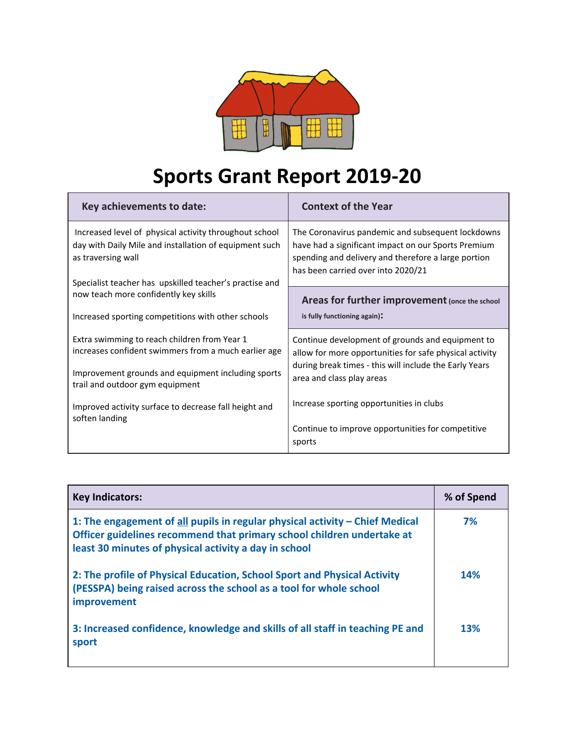

## **Sports Grant Report 2019-20**

| Key achievements to date:                                                                                                              | <b>Context of the Year</b>                                                                                                                                                                            |  |
|----------------------------------------------------------------------------------------------------------------------------------------|-------------------------------------------------------------------------------------------------------------------------------------------------------------------------------------------------------|--|
| Increased level of physical activity throughout school<br>day with Daily Mile and installation of equipment such<br>as traversing wall | The Coronavirus pandemic and subsequent lockdowns<br>have had a significant impact on our Sports Premium<br>spending and delivery and therefore a large portion<br>has been carried over into 2020/21 |  |
| Specialist teacher has upskilled teacher's practise and<br>now teach more confidently key skills                                       | Areas for further improvement (once the school                                                                                                                                                        |  |
| Increased sporting competitions with other schools                                                                                     | is fully functioning again):                                                                                                                                                                          |  |
| Extra swimming to reach children from Year 1<br>increases confident swimmers from a much earlier age                                   | Continue development of grounds and equipment to<br>allow for more opportunities for safe physical activity                                                                                           |  |
| Improvement grounds and equipment including sports<br>trail and outdoor gym equipment                                                  | during break times - this will include the Early Years<br>area and class play areas                                                                                                                   |  |
| Improved activity surface to decrease fall height and<br>soften landing                                                                | Increase sporting opportunities in clubs                                                                                                                                                              |  |
|                                                                                                                                        | Continue to improve opportunities for competitive<br>sports                                                                                                                                           |  |

| <b>Key Indicators:</b>                                                                                                                                                                                          | % of Spend |
|-----------------------------------------------------------------------------------------------------------------------------------------------------------------------------------------------------------------|------------|
| 1: The engagement of all pupils in regular physical activity - Chief Medical<br>Officer guidelines recommend that primary school children undertake at<br>least 30 minutes of physical activity a day in school | 7%         |
| 2: The profile of Physical Education, School Sport and Physical Activity<br>(PESSPA) being raised across the school as a tool for whole school<br>improvement                                                   | <b>14%</b> |
| 3: Increased confidence, knowledge and skills of all staff in teaching PE and<br>sport                                                                                                                          | <b>13%</b> |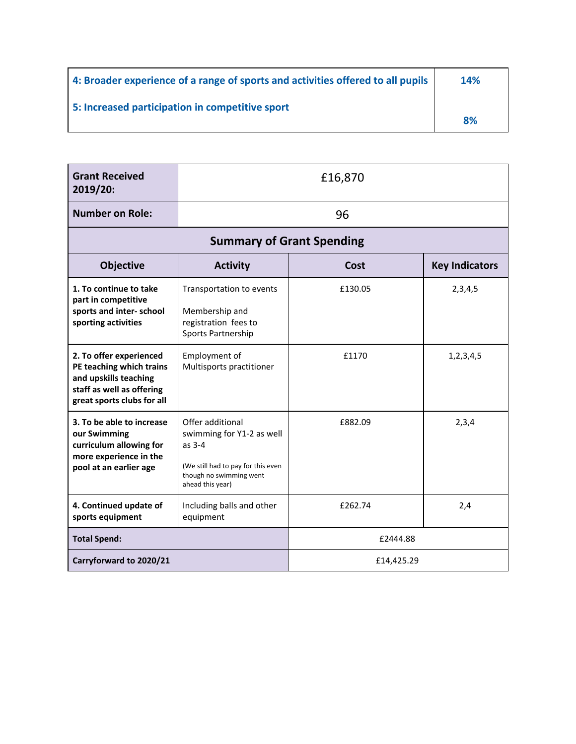| 4: Broader experience of a range of sports and activities offered to all pupils | <b>14%</b> |
|---------------------------------------------------------------------------------|------------|
| 5: Increased participation in competitive sport                                 | 8%         |

| <b>Grant Received</b><br>2019/20:                                                                                                       | £16,870                                                                                                                                        |         |                       |  |  |
|-----------------------------------------------------------------------------------------------------------------------------------------|------------------------------------------------------------------------------------------------------------------------------------------------|---------|-----------------------|--|--|
| <b>Number on Role:</b>                                                                                                                  | 96                                                                                                                                             |         |                       |  |  |
| <b>Summary of Grant Spending</b>                                                                                                        |                                                                                                                                                |         |                       |  |  |
| Objective                                                                                                                               | <b>Activity</b>                                                                                                                                | Cost    | <b>Key Indicators</b> |  |  |
| 1. To continue to take<br>part in competitive<br>sports and inter-school<br>sporting activities                                         | Transportation to events<br>Membership and<br>registration fees to<br>Sports Partnership                                                       | £130.05 | 2,3,4,5               |  |  |
| 2. To offer experienced<br>PE teaching which trains<br>and upskills teaching<br>staff as well as offering<br>great sports clubs for all | Employment of<br>Multisports practitioner                                                                                                      | £1170   | 1,2,3,4,5             |  |  |
| 3. To be able to increase<br>our Swimming<br>curriculum allowing for<br>more experience in the<br>pool at an earlier age                | Offer additional<br>swimming for Y1-2 as well<br>as $3-4$<br>(We still had to pay for this even<br>though no swimming went<br>ahead this year) | £882.09 | 2,3,4                 |  |  |
| 4. Continued update of<br>sports equipment                                                                                              | Including balls and other<br>equipment                                                                                                         | £262.74 | 2,4                   |  |  |
| <b>Total Spend:</b>                                                                                                                     | £2444.88                                                                                                                                       |         |                       |  |  |
| Carryforward to 2020/21<br>£14,425.29                                                                                                   |                                                                                                                                                |         |                       |  |  |